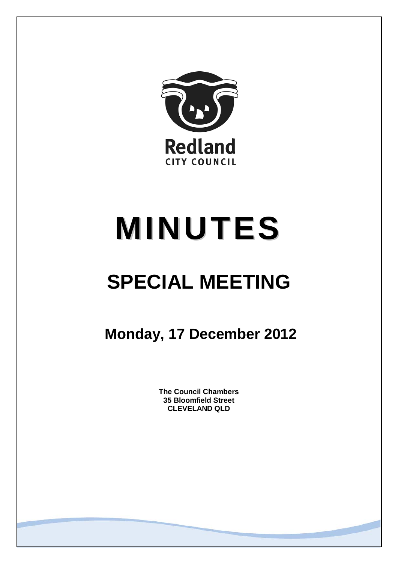

# **MINUTES**

# **SPECIAL MEETING**

**Monday, 17 December 2012**

**The Council Chambers 35 Bloomfield Street CLEVELAND QLD**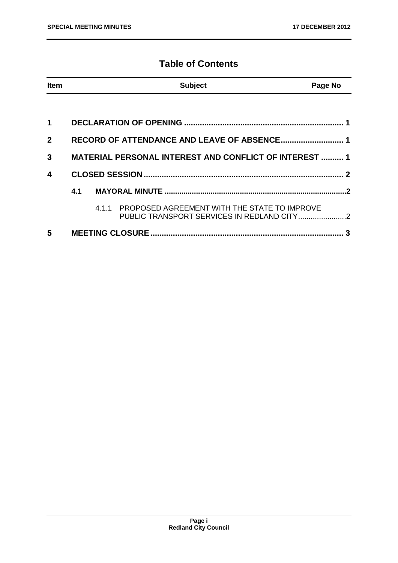# **Table of Contents**

| <b>Item</b>             |                                                               |  | <b>Subject</b>                                                                                   | Page No |  |
|-------------------------|---------------------------------------------------------------|--|--------------------------------------------------------------------------------------------------|---------|--|
|                         |                                                               |  |                                                                                                  |         |  |
| $\blacktriangleleft$    |                                                               |  |                                                                                                  |         |  |
| $\mathbf{2}$            |                                                               |  |                                                                                                  |         |  |
| 3                       | <b>MATERIAL PERSONAL INTEREST AND CONFLICT OF INTEREST  1</b> |  |                                                                                                  |         |  |
| $\overline{\mathbf{4}}$ |                                                               |  |                                                                                                  |         |  |
|                         |                                                               |  |                                                                                                  |         |  |
|                         |                                                               |  | 4.1.1 PROPOSED AGREEMENT WITH THE STATE TO IMPROVE<br>PUBLIC TRANSPORT SERVICES IN REDLAND CITY2 |         |  |
| 5                       |                                                               |  |                                                                                                  |         |  |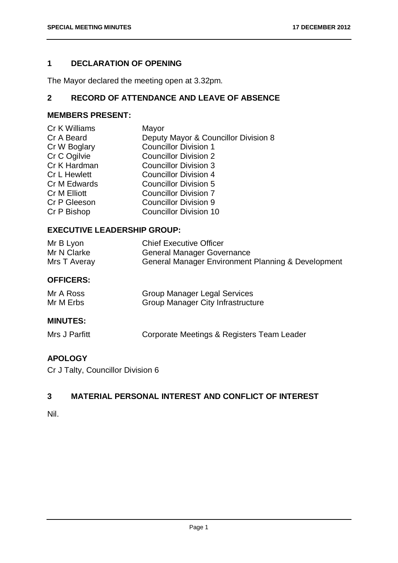# <span id="page-2-0"></span>**1 DECLARATION OF OPENING**

The Mayor declared the meeting open at 3.32pm.

# <span id="page-2-1"></span>**2 RECORD OF ATTENDANCE AND LEAVE OF ABSENCE**

# **MEMBERS PRESENT:**

| Cr K Williams | Mayor                                |
|---------------|--------------------------------------|
| Cr A Beard    | Deputy Mayor & Councillor Division 8 |
| Cr W Boglary  | <b>Councillor Division 1</b>         |
| Cr C Ogilvie  | <b>Councillor Division 2</b>         |
| Cr K Hardman  | <b>Councillor Division 3</b>         |
| Cr L Hewlett  | <b>Councillor Division 4</b>         |
| Cr M Edwards  | <b>Councillor Division 5</b>         |
| Cr M Elliott  | <b>Councillor Division 7</b>         |
| Cr P Gleeson  | <b>Councillor Division 9</b>         |
| Cr P Bishop   | <b>Councillor Division 10</b>        |
|               |                                      |

#### **EXECUTIVE LEADERSHIP GROUP:**

| Mr B Lyon    | <b>Chief Executive Officer</b>                     |
|--------------|----------------------------------------------------|
| Mr N Clarke  | <b>General Manager Governance</b>                  |
| Mrs T Averay | General Manager Environment Planning & Development |
|              |                                                    |

#### **OFFICERS:**

| Mr A Ross | <b>Group Manager Legal Services</b>      |
|-----------|------------------------------------------|
| Mr M Erbs | <b>Group Manager City Infrastructure</b> |

# **MINUTES:**

| Mrs J Parfitt | Corporate Meetings & Registers Team Leader |
|---------------|--------------------------------------------|
|---------------|--------------------------------------------|

#### **APOLOGY**

Cr J Talty, Councillor Division 6

# <span id="page-2-2"></span>**3 MATERIAL PERSONAL INTEREST AND CONFLICT OF INTEREST**

#### Nil.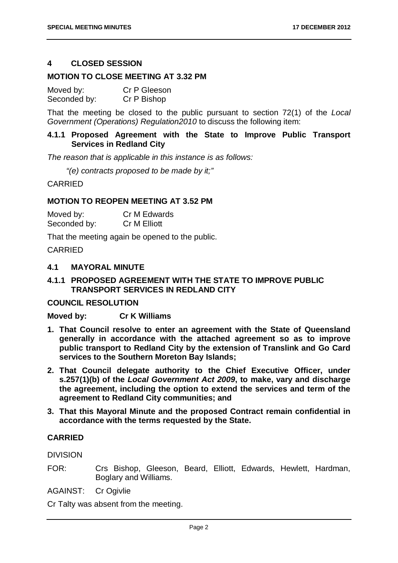#### <span id="page-3-0"></span>**4 CLOSED SESSION**

#### **MOTION TO CLOSE MEETING AT 3.32 PM**

| Moved by:    | Cr P Gleeson |
|--------------|--------------|
| Seconded by: | Cr P Bishop  |

That the meeting be closed to the public pursuant to section 72(1) of the *Local Government (Operations) Regulation2010* to discuss the following item:

#### **4.1.1 Proposed Agreement with the State to Improve Public Transport Services in Redland City**

*The reason that is applicable in this instance is as follows:*

*"(e) contracts proposed to be made by it;"*

CARRIED

#### **MOTION TO REOPEN MEETING AT 3.52 PM**

| Moved by:    | Cr M Edwards |
|--------------|--------------|
| Seconded by: | Cr M Elliott |

That the meeting again be opened to the public.

CARRIED

#### <span id="page-3-1"></span>**4.1 MAYORAL MINUTE**

#### <span id="page-3-2"></span>**4.1.1 PROPOSED AGREEMENT WITH THE STATE TO IMPROVE PUBLIC TRANSPORT SERVICES IN REDLAND CITY**

#### **COUNCIL RESOLUTION**

#### **Moved by: Cr K Williams**

- **1. That Council resolve to enter an agreement with the State of Queensland generally in accordance with the attached agreement so as to improve public transport to Redland City by the extension of Translink and Go Card services to the Southern Moreton Bay Islands;**
- **2. That Council delegate authority to the Chief Executive Officer, under s.257(1)(b) of the** *Local Government Act 2009***, to make, vary and discharge the agreement, including the option to extend the services and term of the agreement to Redland City communities; and**
- **3. That this Mayoral Minute and the proposed Contract remain confidential in accordance with the terms requested by the State.**

#### **CARRIED**

**DIVISION** 

- FOR: Crs Bishop, Gleeson, Beard, Elliott, Edwards, Hewlett, Hardman, Boglary and Williams.
- AGAINST: Cr Ogivlie

Cr Talty was absent from the meeting.